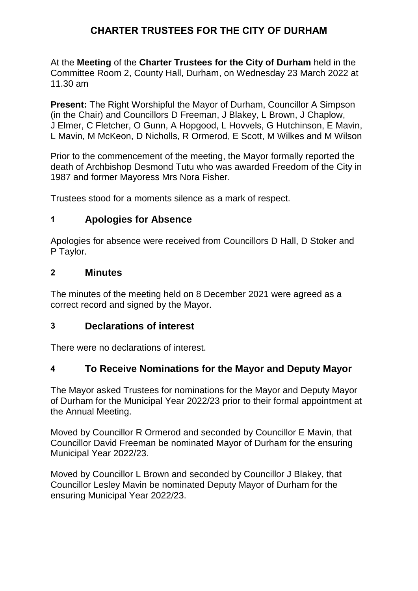# **CHARTER TRUSTEES FOR THE CITY OF DURHAM**

At the **Meeting** of the **Charter Trustees for the City of Durham** held in the Committee Room 2, County Hall, Durham, on Wednesday 23 March 2022 at 11.30 am

**Present:** The Right Worshipful the Mayor of Durham, Councillor A Simpson (in the Chair) and Councillors D Freeman, J Blakey, L Brown, J Chaplow, J Elmer, C Fletcher, O Gunn, A Hopgood, L Hovvels, G Hutchinson, E Mavin, L Mavin, M McKeon, D Nicholls, R Ormerod, E Scott, M Wilkes and M Wilson

Prior to the commencement of the meeting, the Mayor formally reported the death of Archbishop Desmond Tutu who was awarded Freedom of the City in 1987 and former Mayoress Mrs Nora Fisher.

Trustees stood for a moments silence as a mark of respect.

## **1 Apologies for Absence**

Apologies for absence were received from Councillors D Hall, D Stoker and P Taylor.

### **2 Minutes**

The minutes of the meeting held on 8 December 2021 were agreed as a correct record and signed by the Mayor.

### **3 Declarations of interest**

There were no declarations of interest.

## **4 To Receive Nominations for the Mayor and Deputy Mayor**

The Mayor asked Trustees for nominations for the Mayor and Deputy Mayor of Durham for the Municipal Year 2022/23 prior to their formal appointment at the Annual Meeting.

Moved by Councillor R Ormerod and seconded by Councillor E Mavin, that Councillor David Freeman be nominated Mayor of Durham for the ensuring Municipal Year 2022/23.

Moved by Councillor L Brown and seconded by Councillor J Blakey, that Councillor Lesley Mavin be nominated Deputy Mayor of Durham for the ensuring Municipal Year 2022/23.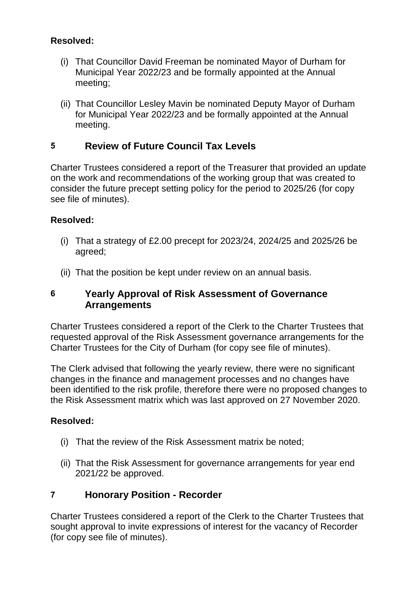### **Resolved:**

- (i) That Councillor David Freeman be nominated Mayor of Durham for Municipal Year 2022/23 and be formally appointed at the Annual meeting;
- (ii) That Councillor Lesley Mavin be nominated Deputy Mayor of Durham for Municipal Year 2022/23 and be formally appointed at the Annual meeting.

## **5 Review of Future Council Tax Levels**

Charter Trustees considered a report of the Treasurer that provided an update on the work and recommendations of the working group that was created to consider the future precept setting policy for the period to 2025/26 (for copy see file of minutes).

### **Resolved:**

- (i) That a strategy of £2.00 precept for 2023/24, 2024/25 and 2025/26 be agreed;
- (ii) That the position be kept under review on an annual basis.

## **6 Yearly Approval of Risk Assessment of Governance Arrangements**

Charter Trustees considered a report of the Clerk to the Charter Trustees that requested approval of the Risk Assessment governance arrangements for the Charter Trustees for the City of Durham (for copy see file of minutes).

The Clerk advised that following the yearly review, there were no significant changes in the finance and management processes and no changes have been identified to the risk profile, therefore there were no proposed changes to the Risk Assessment matrix which was last approved on 27 November 2020.

### **Resolved:**

- (i) That the review of the Risk Assessment matrix be noted;
- (ii) That the Risk Assessment for governance arrangements for year end 2021/22 be approved.

## **7 Honorary Position - Recorder**

Charter Trustees considered a report of the Clerk to the Charter Trustees that sought approval to invite expressions of interest for the vacancy of Recorder (for copy see file of minutes).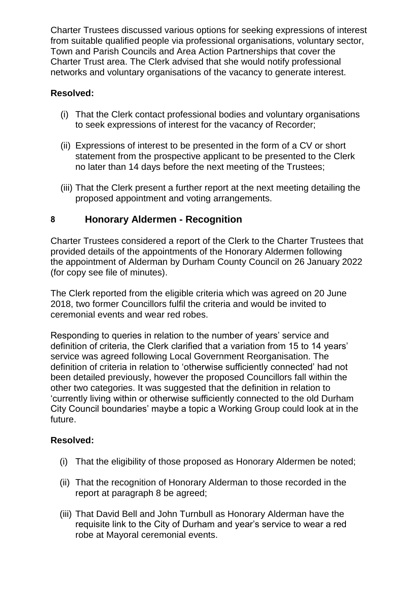Charter Trustees discussed various options for seeking expressions of interest from suitable qualified people via professional organisations, voluntary sector, Town and Parish Councils and Area Action Partnerships that cover the Charter Trust area. The Clerk advised that she would notify professional networks and voluntary organisations of the vacancy to generate interest.

## **Resolved:**

- (i) That the Clerk contact professional bodies and voluntary organisations to seek expressions of interest for the vacancy of Recorder;
- (ii) Expressions of interest to be presented in the form of a CV or short statement from the prospective applicant to be presented to the Clerk no later than 14 days before the next meeting of the Trustees;
- (iii) That the Clerk present a further report at the next meeting detailing the proposed appointment and voting arrangements.

## **8 Honorary Aldermen - Recognition**

Charter Trustees considered a report of the Clerk to the Charter Trustees that provided details of the appointments of the Honorary Aldermen following the appointment of Alderman by Durham County Council on 26 January 2022 (for copy see file of minutes).

The Clerk reported from the eligible criteria which was agreed on 20 June 2018, two former Councillors fulfil the criteria and would be invited to ceremonial events and wear red robes.

Responding to queries in relation to the number of years' service and definition of criteria, the Clerk clarified that a variation from 15 to 14 years' service was agreed following Local Government Reorganisation. The definition of criteria in relation to 'otherwise sufficiently connected' had not been detailed previously, however the proposed Councillors fall within the other two categories. It was suggested that the definition in relation to 'currently living within or otherwise sufficiently connected to the old Durham City Council boundaries' maybe a topic a Working Group could look at in the future.

### **Resolved:**

- (i) That the eligibility of those proposed as Honorary Aldermen be noted;
- (ii) That the recognition of Honorary Alderman to those recorded in the report at paragraph 8 be agreed;
- (iii) That David Bell and John Turnbull as Honorary Alderman have the requisite link to the City of Durham and year's service to wear a red robe at Mayoral ceremonial events.